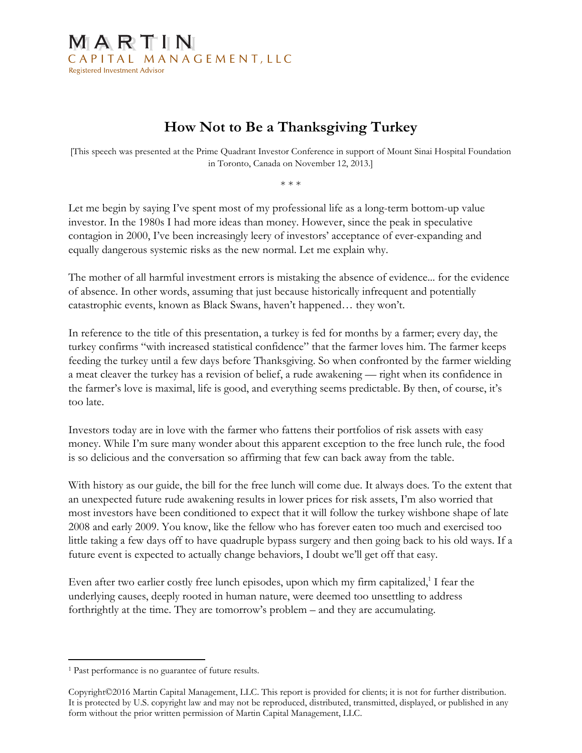## MARTIN CAPITAL MANAGEMENT, LLC **Registered Investment Advisor**

## How Not to Be a Thanksgiving Turkey

[This speech was presented at the Prime Quadrant Investor Conference in support of Mount Sinai Hospital Foundation in Toronto, Canada on November 12, 2013.]

\* \* \*

Let me begin by saying I've spent most of my professional life as a long-term bottom-up value investor. In the 1980s I had more ideas than money. However, since the peak in speculative contagion in 2000, I've been increasingly leery of investors' acceptance of ever-expanding and equally dangerous systemic risks as the new normal. Let me explain why.

The mother of all harmful investment errors is mistaking the absence of evidence... for the evidence of absence. In other words, assuming that just because historically infrequent and potentially catastrophic events, known as Black Swans, haven't happened… they won't.

In reference to the title of this presentation, a turkey is fed for months by a farmer; every day, the turkey confirms "with increased statistical confidence" that the farmer loves him. The farmer keeps feeding the turkey until a few days before Thanksgiving. So when confronted by the farmer wielding a meat cleaver the turkey has a revision of belief, a rude awakening — right when its confidence in the farmer's love is maximal, life is good, and everything seems predictable. By then, of course, it's too late.

Investors today are in love with the farmer who fattens their portfolios of risk assets with easy money. While I'm sure many wonder about this apparent exception to the free lunch rule, the food is so delicious and the conversation so affirming that few can back away from the table.

With history as our guide, the bill for the free lunch will come due. It always does. To the extent that an unexpected future rude awakening results in lower prices for risk assets, I'm also worried that most investors have been conditioned to expect that it will follow the turkey wishbone shape of late 2008 and early 2009. You know, like the fellow who has forever eaten too much and exercised too little taking a few days off to have quadruple bypass surgery and then going back to his old ways. If a future event is expected to actually change behaviors, I doubt we'll get off that easy.

Even after two earlier costly free lunch episodes, upon which my firm capitalized, $1$  I fear the underlying causes, deeply rooted in human nature, were deemed too unsettling to address forthrightly at the time. They are tomorrow's problem – and they are accumulating.

 $\overline{a}$ 1 Past performance is no guarantee of future results.

Copyright©2016 Martin Capital Management, LLC. This report is provided for clients; it is not for further distribution. It is protected by U.S. copyright law and may not be reproduced, distributed, transmitted, displayed, or published in any form without the prior written permission of Martin Capital Management, LLC.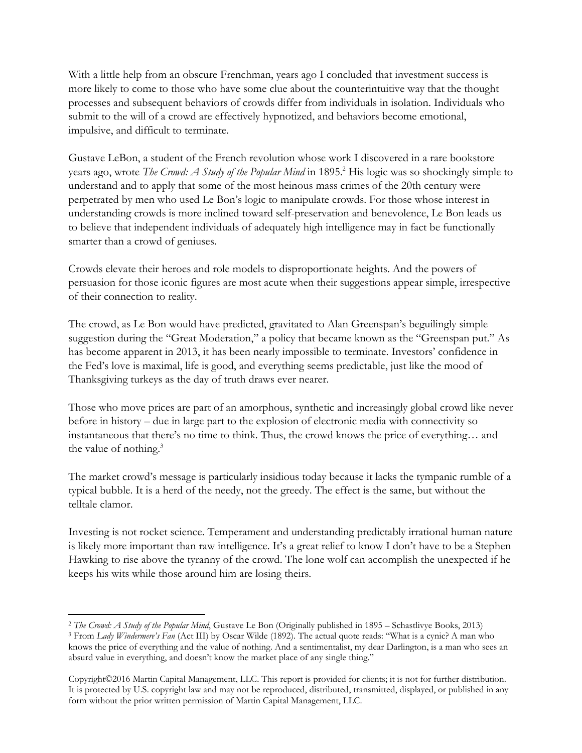With a little help from an obscure Frenchman, years ago I concluded that investment success is more likely to come to those who have some clue about the counterintuitive way that the thought processes and subsequent behaviors of crowds differ from individuals in isolation. Individuals who submit to the will of a crowd are effectively hypnotized, and behaviors become emotional, impulsive, and difficult to terminate.

Gustave LeBon, a student of the French revolution whose work I discovered in a rare bookstore years ago, wrote The Crowd: A Study of the Popular Mind in 1895.<sup>2</sup> His logic was so shockingly simple to understand and to apply that some of the most heinous mass crimes of the 20th century were perpetrated by men who used Le Bon's logic to manipulate crowds. For those whose interest in understanding crowds is more inclined toward self-preservation and benevolence, Le Bon leads us to believe that independent individuals of adequately high intelligence may in fact be functionally smarter than a crowd of geniuses.

Crowds elevate their heroes and role models to disproportionate heights. And the powers of persuasion for those iconic figures are most acute when their suggestions appear simple, irrespective of their connection to reality.

The crowd, as Le Bon would have predicted, gravitated to Alan Greenspan's beguilingly simple suggestion during the "Great Moderation," a policy that became known as the "Greenspan put." As has become apparent in 2013, it has been nearly impossible to terminate. Investors' confidence in the Fed's love is maximal, life is good, and everything seems predictable, just like the mood of Thanksgiving turkeys as the day of truth draws ever nearer.

Those who move prices are part of an amorphous, synthetic and increasingly global crowd like never before in history – due in large part to the explosion of electronic media with connectivity so instantaneous that there's no time to think. Thus, the crowd knows the price of everything… and the value of nothing.<sup>3</sup>

The market crowd's message is particularly insidious today because it lacks the tympanic rumble of a typical bubble. It is a herd of the needy, not the greedy. The effect is the same, but without the telltale clamor.

Investing is not rocket science. Temperament and understanding predictably irrational human nature is likely more important than raw intelligence. It's a great relief to know I don't have to be a Stephen Hawking to rise above the tyranny of the crowd. The lone wolf can accomplish the unexpected if he keeps his wits while those around him are losing theirs.

 $\overline{a}$ <sup>2</sup> The Crowd: A Study of the Popular Mind, Gustave Le Bon (Originally published in 1895 – Schastlivye Books, 2013)

<sup>&</sup>lt;sup>3</sup> From Lady Windermere's Fan (Act III) by Oscar Wilde (1892). The actual quote reads: "What is a cynic? A man who knows the price of everything and the value of nothing. And a sentimentalist, my dear Darlington, is a man who sees an absurd value in everything, and doesn't know the market place of any single thing."

Copyright©2016 Martin Capital Management, LLC. This report is provided for clients; it is not for further distribution. It is protected by U.S. copyright law and may not be reproduced, distributed, transmitted, displayed, or published in any form without the prior written permission of Martin Capital Management, LLC.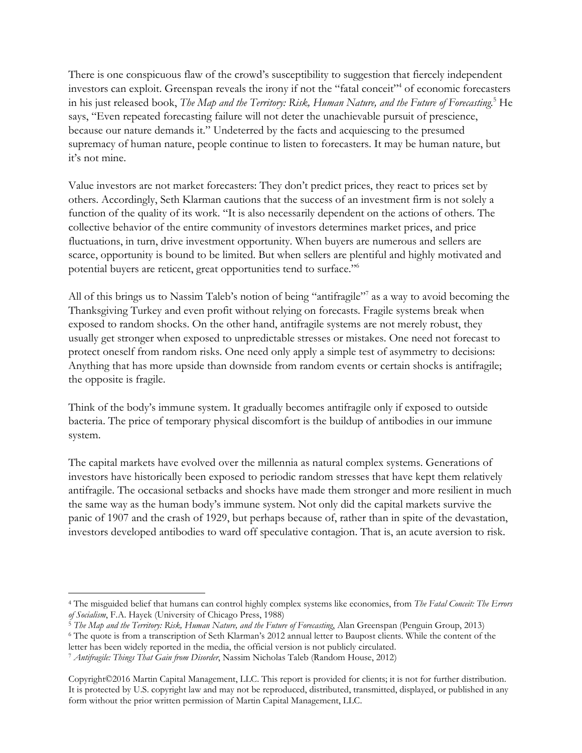There is one conspicuous flaw of the crowd's susceptibility to suggestion that fiercely independent investors can exploit. Greenspan reveals the irony if not the "fatal conceit"<sup>4</sup> of economic forecasters in his just released book, The Map and the Territory: Risk, Human Nature, and the Future of Forecasting.<sup>5</sup> He says, "Even repeated forecasting failure will not deter the unachievable pursuit of prescience, because our nature demands it." Undeterred by the facts and acquiescing to the presumed supremacy of human nature, people continue to listen to forecasters. It may be human nature, but it's not mine.

Value investors are not market forecasters: They don't predict prices, they react to prices set by others. Accordingly, Seth Klarman cautions that the success of an investment firm is not solely a function of the quality of its work. "It is also necessarily dependent on the actions of others. The collective behavior of the entire community of investors determines market prices, and price fluctuations, in turn, drive investment opportunity. When buyers are numerous and sellers are scarce, opportunity is bound to be limited. But when sellers are plentiful and highly motivated and potential buyers are reticent, great opportunities tend to surface."<sup>6</sup>

All of this brings us to Nassim Taleb's notion of being "antifragile"<sup>7</sup> as a way to avoid becoming the Thanksgiving Turkey and even profit without relying on forecasts. Fragile systems break when exposed to random shocks. On the other hand, antifragile systems are not merely robust, they usually get stronger when exposed to unpredictable stresses or mistakes. One need not forecast to protect oneself from random risks. One need only apply a simple test of asymmetry to decisions: Anything that has more upside than downside from random events or certain shocks is antifragile; the opposite is fragile.

Think of the body's immune system. It gradually becomes antifragile only if exposed to outside bacteria. The price of temporary physical discomfort is the buildup of antibodies in our immune system.

The capital markets have evolved over the millennia as natural complex systems. Generations of investors have historically been exposed to periodic random stresses that have kept them relatively antifragile. The occasional setbacks and shocks have made them stronger and more resilient in much the same way as the human body's immune system. Not only did the capital markets survive the panic of 1907 and the crash of 1929, but perhaps because of, rather than in spite of the devastation, investors developed antibodies to ward off speculative contagion. That is, an acute aversion to risk.

<sup>4</sup> The misguided belief that humans can control highly complex systems like economies, from The Fatal Conceit: The Errors of Socialism, F.A. Hayek (University of Chicago Press, 1988)

<sup>&</sup>lt;sup>5</sup> The Map and the Territory: Risk, Human Nature, and the Future of Forecasting, Alan Greenspan (Penguin Group, 2013)

<sup>6</sup> The quote is from a transcription of Seth Klarman's 2012 annual letter to Baupost clients. While the content of the letter has been widely reported in the media, the official version is not publicly circulated.

<sup>&</sup>lt;sup>7</sup> Antifragile: Things That Gain from Disorder, Nassim Nicholas Taleb (Random House, 2012)

Copyright©2016 Martin Capital Management, LLC. This report is provided for clients; it is not for further distribution. It is protected by U.S. copyright law and may not be reproduced, distributed, transmitted, displayed, or published in any form without the prior written permission of Martin Capital Management, LLC.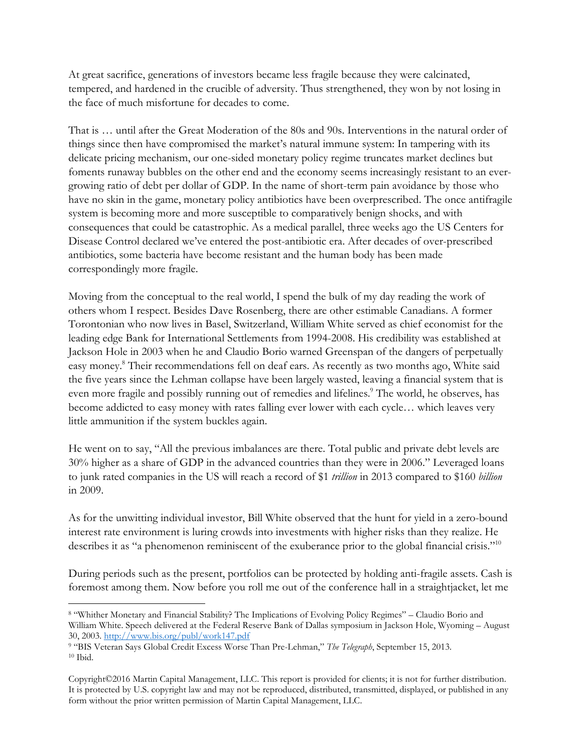At great sacrifice, generations of investors became less fragile because they were calcinated, tempered, and hardened in the crucible of adversity. Thus strengthened, they won by not losing in the face of much misfortune for decades to come.

That is … until after the Great Moderation of the 80s and 90s. Interventions in the natural order of things since then have compromised the market's natural immune system: In tampering with its delicate pricing mechanism, our one-sided monetary policy regime truncates market declines but foments runaway bubbles on the other end and the economy seems increasingly resistant to an evergrowing ratio of debt per dollar of GDP. In the name of short-term pain avoidance by those who have no skin in the game, monetary policy antibiotics have been overprescribed. The once antifragile system is becoming more and more susceptible to comparatively benign shocks, and with consequences that could be catastrophic. As a medical parallel, three weeks ago the US Centers for Disease Control declared we've entered the post-antibiotic era. After decades of over-prescribed antibiotics, some bacteria have become resistant and the human body has been made correspondingly more fragile.

Moving from the conceptual to the real world, I spend the bulk of my day reading the work of others whom I respect. Besides Dave Rosenberg, there are other estimable Canadians. A former Torontonian who now lives in Basel, Switzerland, William White served as chief economist for the leading edge Bank for International Settlements from 1994-2008. His credibility was established at Jackson Hole in 2003 when he and Claudio Borio warned Greenspan of the dangers of perpetually easy money.<sup>8</sup> Their recommendations fell on deaf ears. As recently as two months ago, White said the five years since the Lehman collapse have been largely wasted, leaving a financial system that is even more fragile and possibly running out of remedies and lifelines.<sup>9</sup> The world, he observes, has become addicted to easy money with rates falling ever lower with each cycle… which leaves very little ammunition if the system buckles again.

He went on to say, "All the previous imbalances are there. Total public and private debt levels are 30% higher as a share of GDP in the advanced countries than they were in 2006." Leveraged loans to junk rated companies in the US will reach a record of \$1 *trillion* in 2013 compared to \$160 *billion* in 2009.

As for the unwitting individual investor, Bill White observed that the hunt for yield in a zero-bound interest rate environment is luring crowds into investments with higher risks than they realize. He describes it as "a phenomenon reminiscent of the exuberance prior to the global financial crisis."<sup>10</sup>

During periods such as the present, portfolios can be protected by holding anti-fragile assets. Cash is foremost among them. Now before you roll me out of the conference hall in a straightjacket, let me

 $\overline{a}$ 8 "Whither Monetary and Financial Stability? The Implications of Evolving Policy Regimes" – Claudio Borio and William White. Speech delivered at the Federal Reserve Bank of Dallas symposium in Jackson Hole, Wyoming – August 30, 2003. http://www.bis.org/publ/work147.pdf

<sup>&</sup>lt;sup>9</sup> "BIS Veteran Says Global Credit Excess Worse Than Pre-Lehman," The Telegraph, September 15, 2013. 10 Ibid.

Copyright©2016 Martin Capital Management, LLC. This report is provided for clients; it is not for further distribution. It is protected by U.S. copyright law and may not be reproduced, distributed, transmitted, displayed, or published in any form without the prior written permission of Martin Capital Management, LLC.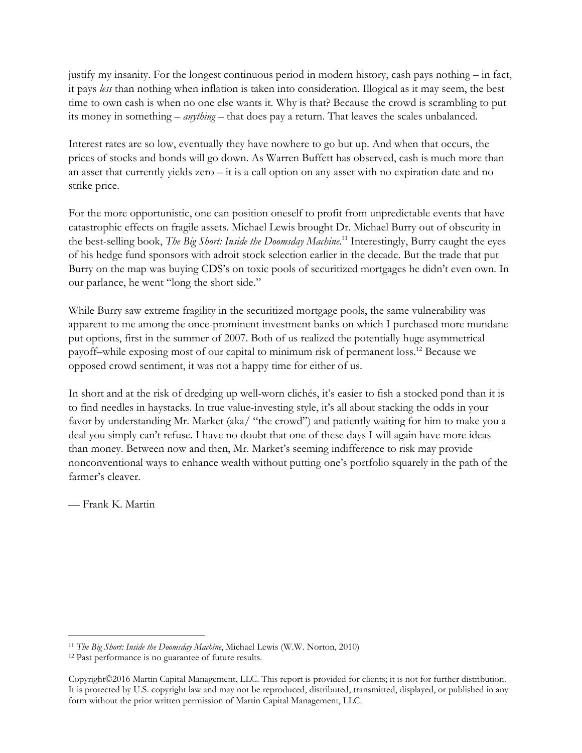justify my insanity. For the longest continuous period in modern history, cash pays nothing – in fact, it pays less than nothing when inflation is taken into consideration. Illogical as it may seem, the best time to own cash is when no one else wants it. Why is that? Because the crowd is scrambling to put its money in something – anything – that does pay a return. That leaves the scales unbalanced.

Interest rates are so low, eventually they have nowhere to go but up. And when that occurs, the prices of stocks and bonds will go down. As Warren Buffett has observed, cash is much more than an asset that currently yields zero – it is a call option on any asset with no expiration date and no strike price.

For the more opportunistic, one can position oneself to profit from unpredictable events that have catastrophic effects on fragile assets. Michael Lewis brought Dr. Michael Burry out of obscurity in the best-selling book, The Big Short: Inside the Doomsday Machine.<sup>11</sup> Interestingly, Burry caught the eyes of his hedge fund sponsors with adroit stock selection earlier in the decade. But the trade that put Burry on the map was buying CDS's on toxic pools of securitized mortgages he didn't even own. In our parlance, he went "long the short side."

While Burry saw extreme fragility in the securitized mortgage pools, the same vulnerability was apparent to me among the once-prominent investment banks on which I purchased more mundane put options, first in the summer of 2007. Both of us realized the potentially huge asymmetrical payoff–while exposing most of our capital to minimum risk of permanent loss.<sup>12</sup> Because we opposed crowd sentiment, it was not a happy time for either of us.

In short and at the risk of dredging up well-worn clichés, it's easier to fish a stocked pond than it is to find needles in haystacks. In true value-investing style, it's all about stacking the odds in your favor by understanding Mr. Market (aka/ "the crowd") and patiently waiting for him to make you a deal you simply can't refuse. I have no doubt that one of these days I will again have more ideas than money. Between now and then, Mr. Market's seeming indifference to risk may provide nonconventional ways to enhance wealth without putting one's portfolio squarely in the path of the farmer's cleaver.

— Frank K. Martin

 $\overline{a}$ <sup>11</sup> The Big Short: Inside the Doomsday Machine, Michael Lewis (W.W. Norton, 2010)

<sup>12</sup> Past performance is no guarantee of future results.

Copyright©2016 Martin Capital Management, LLC. This report is provided for clients; it is not for further distribution. It is protected by U.S. copyright law and may not be reproduced, distributed, transmitted, displayed, or published in any form without the prior written permission of Martin Capital Management, LLC.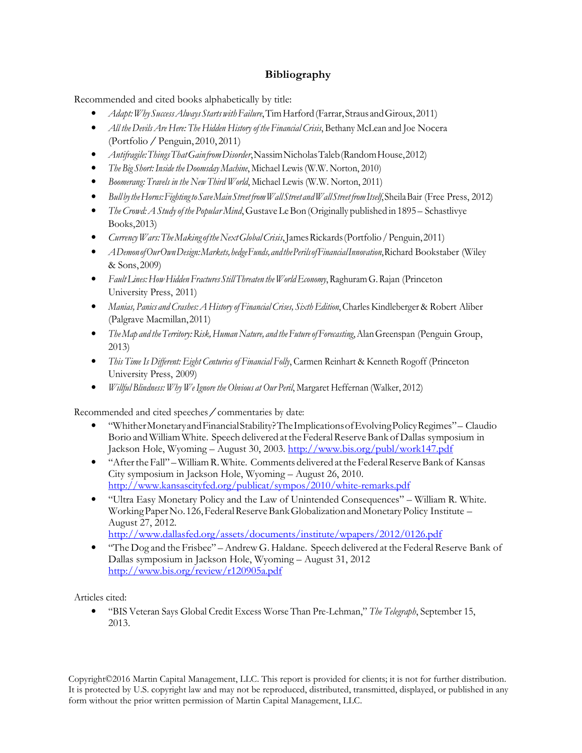## Bibliography

Recommended and cited books alphabetically by title:

- Adapt: Why Success Always Starts with Failure, Tim Harford (Farrar, Straus and Giroux, 2011)
- All the Devils Are Here: The Hidden History of the Financial Crisis, Bethany McLean and Joe Nocera (Portfolio / Penguin, 2010, 2011)
- Antifragile: Things That Gain from Disorder, Nassim Nicholas Taleb (Random House, 2012)
- The Big Short: Inside the Doomsday Machine, Michael Lewis (W.W. Norton, 2010)
- Boomerang: Travels in the New Third World, Michael Lewis (W.W. Norton, 2011)
- Bull by the Horns: Fighting to Save Main Street from Wall Street and Wall Street from Itself, Sheila Bair (Free Press, 2012)
- The Crowd: A Study of the Popular Mind, Gustave Le Bon (Originally published in 1895 Schastlivye Books, 2013)
- Currency Wars: The Making of the Next Global Crisis, James Rickards (Portfolio / Penguin, 2011)
- A Demon of Our Own Design: Markets, hedge Funds, and the Perils of Financial Innovation, Richard Bookstaber (Wiley & Sons, 2009)
- Fault Lines: How Hidden Fractures Still Threaten the World Economy, Raghuram G. Rajan (Princeton University Press, 2011)
- Manias, Panics and Crashes: A History of Financial Crises, Sixth Edition, Charles Kindleberger & Robert Aliber (Palgrave Macmillan, 2011)
- The Map and the Territory: Risk, Human Nature, and the Future of Forecasting, Alan Greenspan (Penguin Group, 2013)
- This Time Is Different: Eight Centuries of Financial Folly, Carmen Reinhart & Kenneth Rogoff (Princeton University Press, 2009)
- Willful Blindness: Why We Ignore the Obvious at Our Peril, Margaret Heffernan (Walker, 2012)

Recommended and cited speeches/commentaries by date:

- "Whither Monetary and Financial Stability? The Implications of Evolving Policy Regimes" Claudio Borio and William White. Speech delivered at the Federal Reserve Bank of Dallas symposium in Jackson Hole, Wyoming – August 30, 2003. http://www.bis.org/publ/work147.pdf
- "After the Fall" William R. White. Comments delivered at the Federal Reserve Bank of Kansas City symposium in Jackson Hole, Wyoming – August 26, 2010. http://www.kansascityfed.org/publicat/sympos/2010/white-remarks.pdf
- "Ultra Easy Monetary Policy and the Law of Unintended Consequences" William R. White. Working Paper No. 126, Federal Reserve Bank Globalization and Monetary Policy Institute – August 27, 2012.

http://www.dallasfed.org/assets/documents/institute/wpapers/2012/0126.pdf

• "The Dog and the Frisbee" – Andrew G. Haldane. Speech delivered at the Federal Reserve Bank of Dallas symposium in Jackson Hole, Wyoming – August 31, 2012 http://www.bis.org/review/r120905a.pdf

Articles cited:

• "BIS Veteran Says Global Credit Excess Worse Than Pre-Lehman," The Telegraph, September 15, 2013.

Copyright©2016 Martin Capital Management, LLC. This report is provided for clients; it is not for further distribution. It is protected by U.S. copyright law and may not be reproduced, distributed, transmitted, displayed, or published in any form without the prior written permission of Martin Capital Management, LLC.